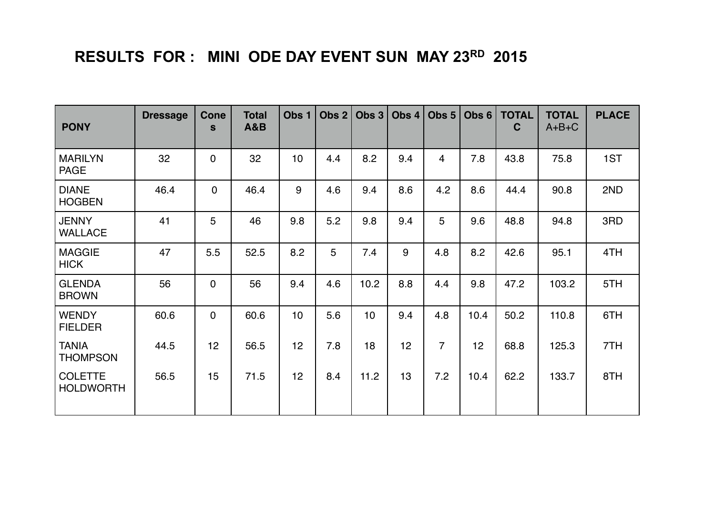## **RESULTS FOR : MINI ODE DAY EVENT SUN MAY 23RD 2015**

| <b>PONY</b>                        | <b>Dressage</b> | Cone<br>$\mathbf{s}$ | <b>Total</b><br><b>A&amp;B</b> | Obs <sub>1</sub> | Obs $2 $ | Obs <sub>3</sub> | Obs 4 | Obs $5 $       | Obs <sub>6</sub> | <b>TOTAL</b><br>$\mathbf C$ | <b>TOTAL</b><br>$A+B+C$ | <b>PLACE</b> |
|------------------------------------|-----------------|----------------------|--------------------------------|------------------|----------|------------------|-------|----------------|------------------|-----------------------------|-------------------------|--------------|
| <b>MARILYN</b><br><b>PAGE</b>      | 32              | $\mathbf 0$          | 32                             | 10 <sup>1</sup>  | 4.4      | 8.2              | 9.4   | $\overline{4}$ | 7.8              | 43.8                        | 75.8                    | 1ST          |
| <b>DIANE</b><br><b>HOGBEN</b>      | 46.4            | $\mathbf 0$          | 46.4                           | 9                | 4.6      | 9.4              | 8.6   | 4.2            | 8.6              | 44.4                        | 90.8                    | 2ND          |
| <b>JENNY</b><br><b>WALLACE</b>     | 41              | 5                    | 46                             | 9.8              | 5.2      | 9.8              | 9.4   | 5              | 9.6              | 48.8                        | 94.8                    | 3RD          |
| <b>MAGGIE</b><br><b>HICK</b>       | 47              | 5.5                  | 52.5                           | 8.2              | 5        | 7.4              | 9     | 4.8            | 8.2              | 42.6                        | 95.1                    | 4TH          |
| <b>GLENDA</b><br><b>BROWN</b>      | 56              | $\mathbf 0$          | 56                             | 9.4              | 4.6      | 10.2             | 8.8   | 4.4            | 9.8              | 47.2                        | 103.2                   | 5TH          |
| <b>WENDY</b><br><b>FIELDER</b>     | 60.6            | $\overline{0}$       | 60.6                           | 10               | 5.6      | 10 <sub>1</sub>  | 9.4   | 4.8            | 10.4             | 50.2                        | 110.8                   | 6TH          |
| <b>TANIA</b><br><b>THOMPSON</b>    | 44.5            | 12                   | 56.5                           | 12               | 7.8      | 18               | 12    | $\overline{7}$ | 12               | 68.8                        | 125.3                   | 7TH          |
| <b>COLETTE</b><br><b>HOLDWORTH</b> | 56.5            | 15                   | 71.5                           | 12               | 8.4      | 11.2             | 13    | 7.2            | 10.4             | 62.2                        | 133.7                   | 8TH          |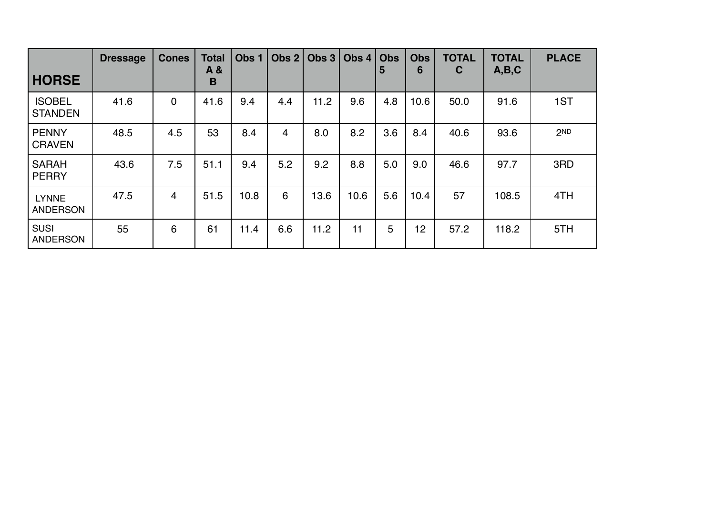| <b>HORSE</b>                    | <b>Dressage</b> | <b>Cones</b> | <b>Total</b><br>A &<br>B | Obs 1 | Obs $2 $ | Obs $3$ | Obs $4$ | <b>Obs</b><br>5 | <b>Obs</b><br>6 | <b>TOTAL</b><br>C | <b>TOTAL</b><br>A,B,C | <b>PLACE</b>    |
|---------------------------------|-----------------|--------------|--------------------------|-------|----------|---------|---------|-----------------|-----------------|-------------------|-----------------------|-----------------|
| <b>ISOBEL</b><br><b>STANDEN</b> | 41.6            | 0            | 41.6                     | 9.4   | 4.4      | 11.2    | 9.6     | 4.8             | 10.6            | 50.0              | 91.6                  | 1ST             |
| <b>PENNY</b><br><b>CRAVEN</b>   | 48.5            | 4.5          | 53                       | 8.4   | 4        | 8.0     | 8.2     | 3.6             | 8.4             | 40.6              | 93.6                  | 2 <sub>ND</sub> |
| <b>SARAH</b><br><b>PERRY</b>    | 43.6            | 7.5          | 51.1                     | 9.4   | 5.2      | 9.2     | 8.8     | 5.0             | 9.0             | 46.6              | 97.7                  | 3RD             |
| <b>LYNNE</b><br><b>ANDERSON</b> | 47.5            | 4            | 51.5                     | 10.8  | 6        | 13.6    | 10.6    | 5.6             | 10.4            | 57                | 108.5                 | 4TH             |
| <b>SUSI</b><br><b>ANDERSON</b>  | 55              | 6            | 61                       | 11.4  | 6.6      | 11.2    | 11      | 5               | 12              | 57.2              | 118.2                 | 5TH             |